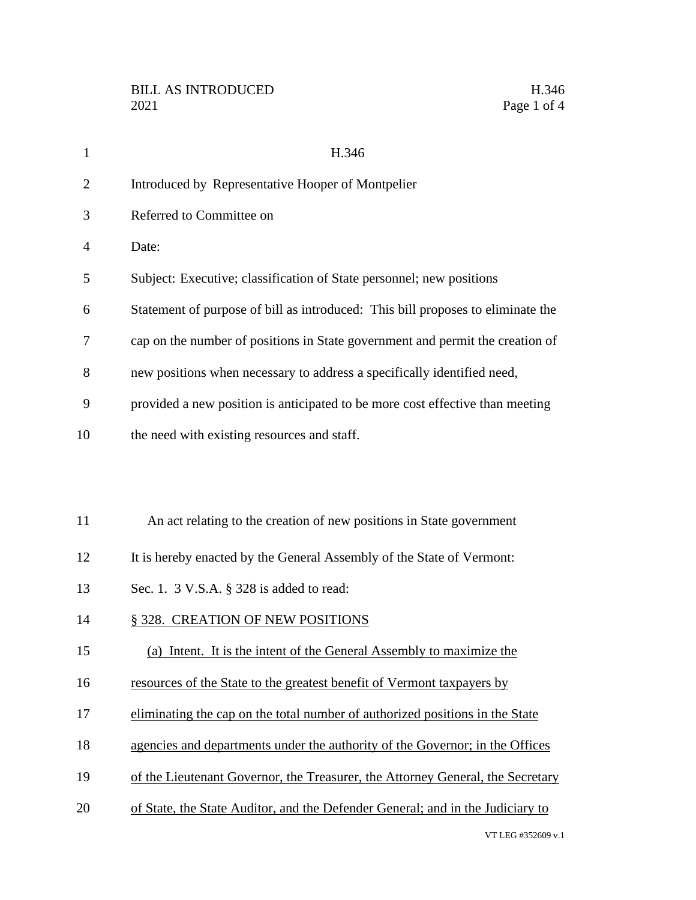| $\mathbf{1}$   | H.346                                                                           |
|----------------|---------------------------------------------------------------------------------|
| $\overline{2}$ | Introduced by Representative Hooper of Montpelier                               |
| 3              | Referred to Committee on                                                        |
| $\overline{4}$ | Date:                                                                           |
| 5              | Subject: Executive; classification of State personnel; new positions            |
| 6              | Statement of purpose of bill as introduced: This bill proposes to eliminate the |
| 7              | cap on the number of positions in State government and permit the creation of   |
| 8              | new positions when necessary to address a specifically identified need,         |
| 9              | provided a new position is anticipated to be more cost effective than meeting   |
| 10             | the need with existing resources and staff.                                     |
|                |                                                                                 |
|                |                                                                                 |
| 11             | An act relating to the creation of new positions in State government            |
| 12             | It is hereby enacted by the General Assembly of the State of Vermont:           |
| 13             | Sec. 1. 3 V.S.A. § 328 is added to read:                                        |
| 14             | § 328. CREATION OF NEW POSITIONS                                                |
| 15             | (a) Intent. It is the intent of the General Assembly to maximize the            |
| 16             | resources of the State to the greatest benefit of Vermont taxpayers by          |
| 17             | eliminating the cap on the total number of authorized positions in the State    |
| 18             | agencies and departments under the authority of the Governor; in the Offices    |
| 19             | of the Lieutenant Governor, the Treasurer, the Attorney General, the Secretary  |
| 20             | of State, the State Auditor, and the Defender General; and in the Judiciary to  |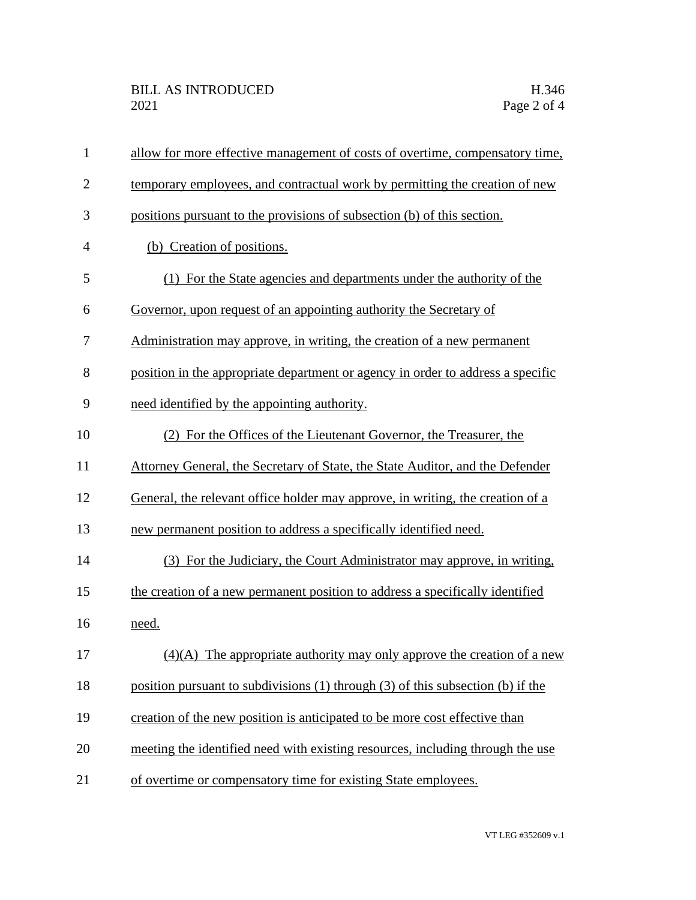| $\mathbf{1}$   | allow for more effective management of costs of overtime, compensatory time,          |
|----------------|---------------------------------------------------------------------------------------|
| $\overline{2}$ | temporary employees, and contractual work by permitting the creation of new           |
| 3              | positions pursuant to the provisions of subsection (b) of this section.               |
| 4              | (b) Creation of positions.                                                            |
| 5              | (1) For the State agencies and departments under the authority of the                 |
| 6              | Governor, upon request of an appointing authority the Secretary of                    |
| 7              | Administration may approve, in writing, the creation of a new permanent               |
| 8              | position in the appropriate department or agency in order to address a specific       |
| 9              | need identified by the appointing authority.                                          |
| 10             | (2) For the Offices of the Lieutenant Governor, the Treasurer, the                    |
| 11             | Attorney General, the Secretary of State, the State Auditor, and the Defender         |
| 12             | General, the relevant office holder may approve, in writing, the creation of a        |
| 13             | new permanent position to address a specifically identified need.                     |
| 14             | (3) For the Judiciary, the Court Administrator may approve, in writing,               |
| 15             | the creation of a new permanent position to address a specifically identified         |
| 16             | need.                                                                                 |
| 17             | $(4)(A)$ The appropriate authority may only approve the creation of a new             |
| 18             | position pursuant to subdivisions $(1)$ through $(3)$ of this subsection $(b)$ if the |
| 19             | creation of the new position is anticipated to be more cost effective than            |
| 20             | meeting the identified need with existing resources, including through the use        |
| 21             | of overtime or compensatory time for existing State employees.                        |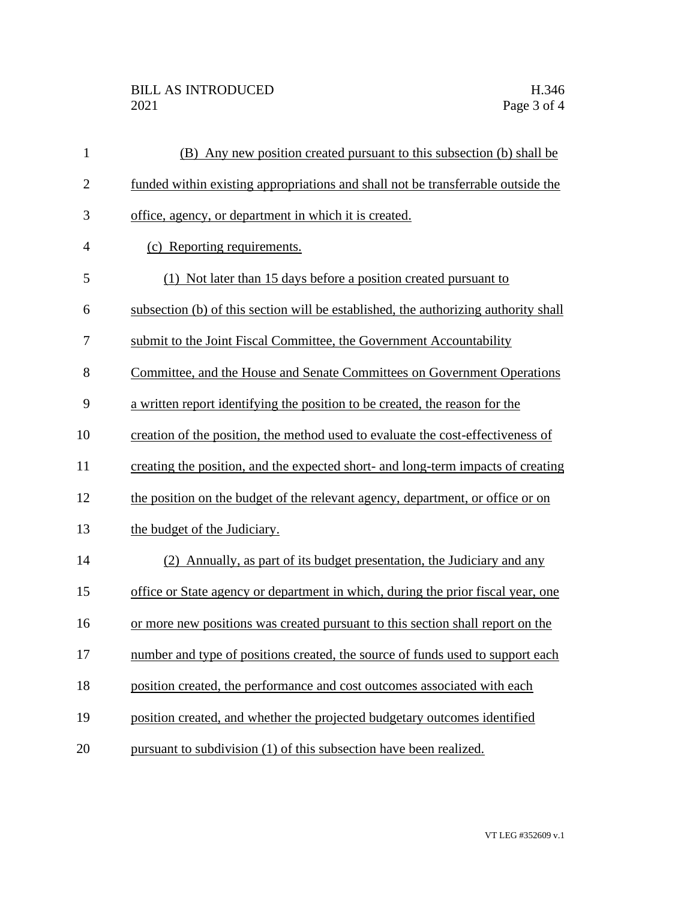| $\mathbf{1}$   | (B) Any new position created pursuant to this subsection (b) shall be               |
|----------------|-------------------------------------------------------------------------------------|
| $\mathbf{2}$   | funded within existing appropriations and shall not be transferrable outside the    |
| 3              | office, agency, or department in which it is created.                               |
| $\overline{4}$ | (c) Reporting requirements.                                                         |
| 5              | (1) Not later than 15 days before a position created pursuant to                    |
| 6              | subsection (b) of this section will be established, the authorizing authority shall |
| 7              | submit to the Joint Fiscal Committee, the Government Accountability                 |
| 8              | Committee, and the House and Senate Committees on Government Operations             |
| 9              | a written report identifying the position to be created, the reason for the         |
| 10             | creation of the position, the method used to evaluate the cost-effectiveness of     |
| 11             | creating the position, and the expected short- and long-term impacts of creating    |
| 12             | the position on the budget of the relevant agency, department, or office or on      |
| 13             | the budget of the Judiciary.                                                        |
| 14             | (2) Annually, as part of its budget presentation, the Judiciary and any             |
| 15             | office or State agency or department in which, during the prior fiscal year, one    |
| 16             | or more new positions was created pursuant to this section shall report on the      |
| 17             | number and type of positions created, the source of funds used to support each      |
| 18             | position created, the performance and cost outcomes associated with each            |
| 19             | position created, and whether the projected budgetary outcomes identified           |
| 20             | pursuant to subdivision (1) of this subsection have been realized.                  |